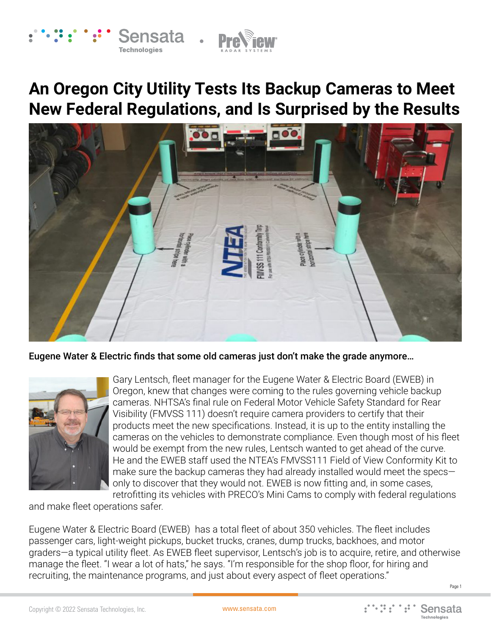# **An Oregon City Utility Tests Its Backup Cameras to Meet New Federal Regulations, and Is Surprised by the Results**

Sensata

**Technologies** 



### Eugene Water & Electric finds that some old cameras just don't make the grade anymore…



Gary Lentsch, fleet manager for the Eugene Water & Electric Board (EWEB) in Oregon, knew that changes were coming to the rules governing vehicle backup cameras. NHTSA's final rule on Federal Motor Vehicle Safety Standard for Rear Visibility (FMVSS 111) doesn't require camera providers to certify that their products meet the new specifications. Instead, it is up to the entity installing the cameras on the vehicles to demonstrate compliance. Even though most of his fleet would be exempt from the new rules, Lentsch wanted to get ahead of the curve. He and the EWEB staff used the NTEA's FMVSS111 Field of View Conformity Kit to make sure the backup cameras they had already installed would meet the specs only to discover that they would not. EWEB is now fitting and, in some cases, retrofitting its vehicles with PRECO's Mini Cams to comply with federal regulations

and make fleet operations safer.

Eugene Water & Electric Board (EWEB) has a total fleet of about 350 vehicles. The fleet includes passenger cars, light-weight pickups, bucket trucks, cranes, dump trucks, backhoes, and motor graders—a typical utility fleet. As EWEB fleet supervisor, Lentsch's job is to acquire, retire, and otherwise manage the fleet. "I wear a lot of hats," he says. "I'm responsible for the shop floor, for hiring and recruiting, the maintenance programs, and just about every aspect of fleet operations."

Page 1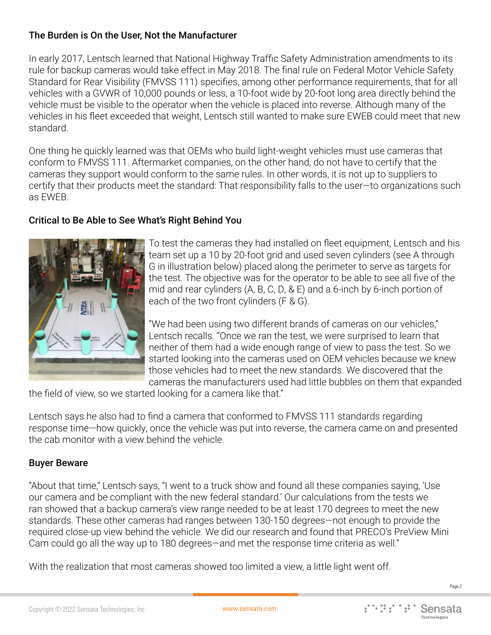## The Burden is On the User, Not the Manufacturer

In early 2017, Lentsch learned that National Highway Traffic Safety Administration amendments to its rule for backup cameras would take effect in May 2018. The final rule on Federal Motor Vehicle Safety Standard for Rear Visibility (FMVSS 111) specifies, among other performance requirements, that for all vehicles with a GVWR of 10,000 pounds or less, a 10-foot wide by 20-foot long area directly behind the vehicle must be visible to the operator when the vehicle is placed into reverse. Although many of the vehicles in his fleet exceeded that weight, Lentsch still wanted to make sure EWEB could meet that new standard.

One thing he quickly learned was that OEMs who build light-weight vehicles must use cameras that conform to FMVSS 111. Aftermarket companies, on the other hand, do not have to certify that the cameras they support would conform to the same rules. In other words, it is not up to suppliers to certify that their products meet the standard: That responsibility falls to the user—to organizations such as EWEB.

## Critical to Be Able to See What's Right Behind You



To test the cameras they had installed on fleet equipment, Lentsch and his team set up a 10 by 20-foot grid and used seven cylinders (see A through G in illustration below) placed along the perimeter to serve as targets for the test. The objective was for the operator to be able to see all five of the mid and rear cylinders (A, B, C, D, & E) and a 6-inch by 6-inch portion of each of the two front cylinders (F & G).

"We had been using two different brands of cameras on our vehicles," Lentsch recalls. "Once we ran the test, we were surprised to learn that neither of them had a wide enough range of view to pass the test. So we started looking into the cameras used on OEM vehicles because we knew those vehicles had to meet the new standards. We discovered that the cameras the manufacturers used had little bubbles on them that expanded

the field of view, so we started looking for a camera like that."

Lentsch says he also had to find a camera that conformed to FMVSS 111 standards regarding response time—how quickly, once the vehicle was put into reverse, the camera came on and presented the cab monitor with a view behind the vehicle.

## Buyer Beware

"About that time," Lentsch says, "I went to a truck show and found all these companies saying, 'Use our camera and be compliant with the new federal standard.' Our calculations from the tests we ran showed that a backup camera's view range needed to be at least 170 degrees to meet the new standards. These other cameras had ranges between 130-150 degrees—not enough to provide the required close-up view behind the vehicle. We did our research and found that PRECO's PreView Mini Cam could go all the way up to 180 degrees—and met the response time criteria as well."

With the realization that most cameras showed too limited a view, a little light went off.